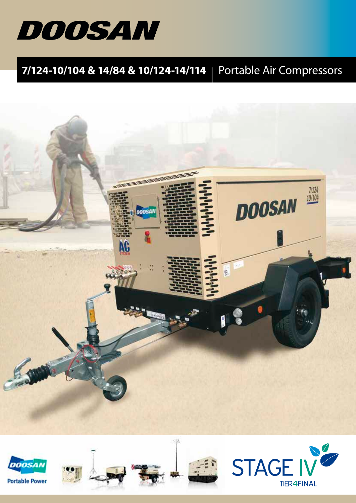

# **7/124-10/104 & 14/84 & 10/124-14/114** | Portable Air Compressors



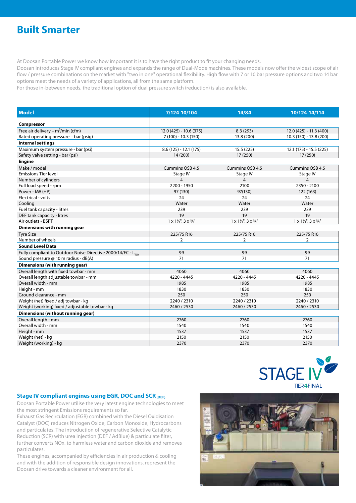## **Built Smarter**

At Doosan Portable Power we know how important it is to have the right product to fit your changing needs.

Doosan introduces Stage IV compliant engines and expands the range of Dual-Mode machines. These models now offer the widest scope of air flow / pressure combinations on the market with "two in one" operational flexibility. High flow with 7 or 10 bar pressure options and two 14 bar options meet the needs of a variety of applications, all from the same platform.

For those in-between needs, the traditional option of dual pressure switch (reduction) is also available.

| <b>Model</b>                                                            | 7/124-10/104                                       | 14/84                                              | 10/124-14/114                                      |
|-------------------------------------------------------------------------|----------------------------------------------------|----------------------------------------------------|----------------------------------------------------|
| Compressor                                                              |                                                    |                                                    |                                                    |
| Free air delivery – $m^3$ /min (cfm)                                    | 12.0 (425) - 10.6 (375)                            | 8.3(293)                                           | 12.0 (425) - 11.3 (400)                            |
| Rated operating pressure - bar (psig)                                   | 7 (100) - 10.3 (150)                               | 13.8 (200)                                         | 10.3 (150) - 13.8 (200)                            |
| <b>Internal settings</b>                                                |                                                    |                                                    |                                                    |
| Maximum system pressure - bar (psi)                                     | $8.6(125) - 12.1(175)$                             | 15.5(225)                                          | 12.1 (175) - 15.5 (225)                            |
| Safety valve setting - bar (psi)                                        | 14 (200)                                           | 17 (250)                                           | 17 (250)                                           |
| <b>Engine</b>                                                           |                                                    |                                                    |                                                    |
| Make / model                                                            | Cummins QSB 4.5                                    | Cummins QSB 4.5                                    | Cummins QSB 4.5                                    |
| <b>Emissions Tier level</b>                                             | Stage IV                                           | Stage IV                                           | Stage IV                                           |
| Number of cylinders                                                     | $\overline{4}$                                     | $\overline{4}$                                     | $\overline{4}$                                     |
| Full load speed - rpm                                                   | 2200 - 1950                                        | 2100                                               | 2350 - 2100                                        |
| Power - kW (HP)                                                         | 97 (130)                                           | 97(130)                                            | 122 (163)                                          |
| Electrical - volts                                                      | 24                                                 | 24                                                 | 24                                                 |
| Cooling                                                                 | Water                                              | Water                                              | Water                                              |
| Fuel tank capacity - litres                                             | 239                                                | 239                                                | 239                                                |
| DEF tank capacity - litres                                              | 19                                                 | 19                                                 | 19                                                 |
| Air outlets - BSPT                                                      | $1 \times 1\frac{1}{4}$ , $3 \times \frac{3}{4}$ " | $1 \times 1\frac{1}{4}$ , $3 \times \frac{3}{4}$ " | $1 \times 1\frac{1}{4}$ , $3 \times \frac{3}{4}$ " |
| Dimensions with running gear                                            |                                                    |                                                    |                                                    |
| <b>Tyre Size</b>                                                        | 225/75 R16                                         | 225/75 R16                                         | 225/75 R16                                         |
| Number of wheels                                                        | $\overline{2}$                                     | 2                                                  | $\overline{2}$                                     |
| <b>Sound Level Data</b>                                                 |                                                    |                                                    |                                                    |
| Fully compliant to Outdoor Noise Directive 2000/14/EC - L <sub>wa</sub> | 99                                                 | 99                                                 | 99                                                 |
| Sound pressure @ 10 m radius - dB(A)                                    | 71                                                 | 71                                                 | 71                                                 |
| Dimensions (with running gear)                                          |                                                    |                                                    |                                                    |
| Overall length with fixed towbar - mm                                   | 4060                                               | 4060                                               | 4060                                               |
| Overall length adjustable towbar - mm                                   | 4220 - 4445                                        | 4220 - 4445                                        | 4220 - 4445                                        |
| Overall width - mm                                                      | 1985                                               | 1985                                               | 1985                                               |
| Height - mm                                                             | 1830                                               | 1830                                               | 1830                                               |
| Ground clearance - mm                                                   | 250                                                | 250                                                | 250                                                |
| Weight (net) fixed / adj towbar - kg                                    | 2240 / 2310                                        | 2240 / 2310                                        | 2240 / 2310                                        |
| Weight (working) fixed / adjustable towbar - kg                         | 2460 / 2530                                        | 2460 / 2530                                        | 2460 / 2530                                        |
| Dimensions (without running gear)                                       |                                                    |                                                    |                                                    |
| Overall length - mm                                                     | 2760                                               | 2760                                               | 2760                                               |
| Overall width - mm                                                      | 1540                                               | 1540                                               | 1540                                               |
| Height - mm                                                             | 1537                                               | 1537                                               | 1537                                               |
| Weight (net) - kg                                                       | 2150                                               | 2150                                               | 2150                                               |
| Weight (working) - kg                                                   | 2370                                               | 2370                                               | 2370                                               |

### **Stage IV compliant engines using EGR, DOC and SCR (DEF)**

Doosan Portable Power utilise the very latest engine technologies to meet the most stringent Emissions requirements so far.

Exhaust Gas Recirculation (EGR) combined with the Diesel Oxidisation Catalyst (DOC) reduces Nitrogen Oxide, Carbon Monoxide, Hydrocarbons and particulates. The introduction of regenerative Selective Catalytic Reduction (SCR) with urea injection (DEF / AdBlue) & particulate filter, further converts NOx, to harmless water and carbon dioxide and removes particulates.

These engines, accompanied by efficiencies in air production & cooling and with the addition of responsible design innovations, represent the Doosan drive towards a cleaner environment for all.



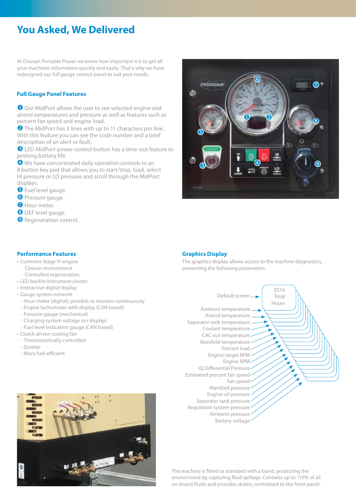## **You Asked, We Delivered**

At Doosan Portable Power we know how important it is to get all your machines information quickly and easily. That's why we have redesigned our full gauge control panel to suit your needs.

### **Full Gauge Panel Features**

 Our MidPort allows the user to see selected engine and airend temperatures and pressure as well as features such as percent fan speed and engine load.

**2** The MidPort has 3 lines with up to 11 characters per line. With this feature you can see the code number and a brief description of an alert or fault.

 LED MidPort power control button has a time-out feature to prolong battery life.

 We have concentrated daily operation controls to an 8 button key pad that allows you to start/stop, load, select HI pressure or LO pressure and scroll through the MidPort displays.

**O** Fuel level gauge.

- **O** Pressure gauge.
- **O** Hour meter.
- 8 DEF level gauge.
- <sup>O</sup> Regeneration control.

### **Performance Features**

- Cummins Stage IV engine
- Cleaner environment
- Controlled regeneration
- LED backlit instrument cluster
- Interactive digital display
- Gauge system network
- Hour meter (digital); possible to monitor continuously
- Engine tachometer with display (CAN based)
- Pressure gauge (mechanical)
- Charging system voltage (on display)
- Fuel level indication gauge (CAN based)
- Clutch driven cooling fan
- Thermostatically controlled
- Quieter
- More fuel efficient





#### **Graphics Display**

The graphics display allows access to the machine diagnostics, presenting the following parameters.



The machine is fitted as standard with a bund, protecting the environment by capturing fluid spillage. Contains up to 110% of all on-board fluids and provides drains, centralised to the front panel.